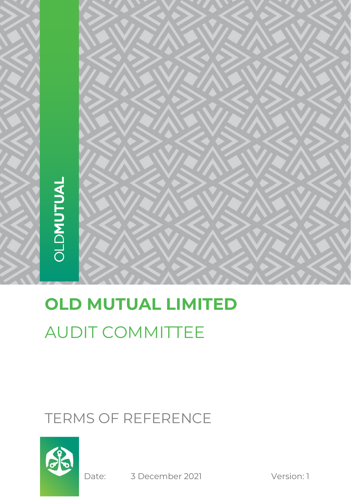# **OLD MUTUAL LIMITED** AUDIT COMMITTEE

# TERMS OF REFERENCE



Date: 3 December 2021 Version: 1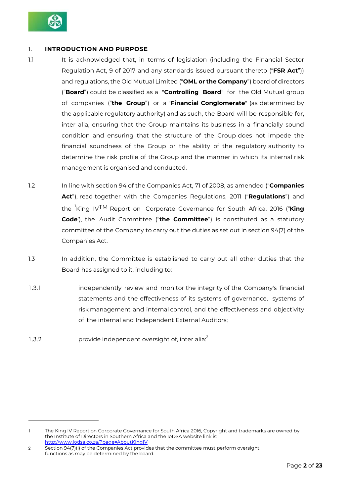

# 1. **INTRODUCTION AND PURPOSE**

- 1.1 It is acknowledged that, in terms of legislation (including the Financial Sector Regulation Act, 9 of 2017 and any standards issued pursuant thereto ("**FSR Act**")) and regulations, the Old Mutual Limited ("**OML or the Company**") board of directors ("**Board**") could be classified as a "**Controlling Board**" for the Old Mutual group of companies ("**the Group**") or a "**Financial Conglomerate**" (as determined by the applicable regulatory authority) and as such, the Board will be responsible for, inter alia, ensuring that the Group maintains its business in a financially sound condition and ensuring that the structure of the Group does not impede the financial soundness of the Group or the ability of the regulatory authority to determine the risk profile of the Group and the manner in which its internal risk management is organised and conducted.
- 1.2 In line with section 94 of the Companies Act, 71 of 2008, as amended ("**Companies Act**"), read together with the Companies Regulations, 2011 ("**Regulations**") and the 1 King IVTM Report on Corporate Governance for South Africa, 2016 ("**King Code**'), the Audit Committee ("**the Committee**") is constituted as a statutory committee of the Company to carry out the duties as set out in section 94(7) of the Companies Act.
- 1.3 In addition, the Committee is established to carry out all other duties that the Board has assigned to it, including to:
- 1.3.1 independently review and monitor the integrity of the Company's financial statements and the effectiveness of its systems of governance, systems of risk management and internal control, and the effectiveness and objectivity of the internal and Independent External Auditors;
- 1.3.2 **provide independent oversight of, inter alia**<sup>2</sup>

<sup>1</sup> The King IV Report on Corporate Governance for South Africa 2016, Copyright and trademarks are owned by the Institute of Directors in Southern Africa and the IoDSA website link is: <http://www.iodsa.co.za/?page=AboutKingIV>

<sup>2</sup> Section 94(7)(i) of the Companies Act provides that the committee must perform oversight functions as may be determined by the board.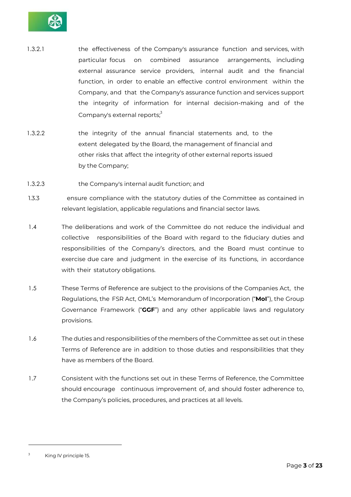

- 1.3.2.1 the effectiveness of the Company's assurance function and services, with particular focus on combined assurance arrangements, including external assurance service providers, internal audit and the financial function, in order to enable an effective control environment within the Company, and that the Company's assurance function and services support the integrity of information for internal decision-making and of the Company's external reports;<sup>3</sup>
- 1.3.2.2 the integrity of the annual financial statements and, to the extent delegated by the Board, the management of financial and other risks that affect the integrity of other external reports issued by the Company;
- 1.3.2.3 the Company's internal audit function; and
- 1.3.3 ensure compliance with the statutory duties of the Committee as contained in relevant legislation, applicable regulations and financial sector laws.
- 1.4 The deliberations and work of the Committee do not reduce the individual and collective responsibilities of the Board with regard to the fiduciary duties and responsibilities of the Company's directors, and the Board must continue to exercise due care and judgment in the exercise of its functions, in accordance with their statutory obligations.
- 1.5 These Terms of Reference are subject to the provisions of the Companies Act, the Regulations, the FSR Act, OML's Memorandum of Incorporation ("**MoI**"), the Group Governance Framework ("**GGF**") and any other applicable laws and regulatory provisions.
- 1.6 The duties and responsibilities of the members of the Committee as set out in these Terms of Reference are in addition to those duties and responsibilities that they have as members of the Board.
- 1.7 Consistent with the functions set out in these Terms of Reference, the Committee should encourage continuous improvement of, and should foster adherence to, the Company's policies, procedures, and practices at all levels.

 $3$  King IV principle 15.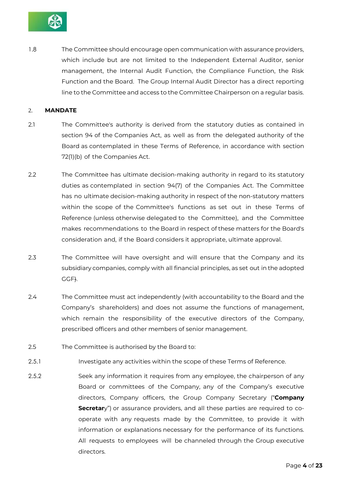

1.8 The Committee should encourage open communication with assurance providers, which include but are not limited to the Independent External Auditor, senior management, the Internal Audit Function, the Compliance Function, the Risk Function and the Board. The Group Internal Audit Director has a direct reporting line to the Committee and access to the Committee Chairperson on a regular basis.

# 2. **MANDATE**

- 2.1 The Committee's authority is derived from the statutory duties as contained in section 94 of the Companies Act, as well as from the delegated authority of the Board as contemplated in these Terms of Reference, in accordance with section 72(1)(b) of the Companies Act.
- 2.2 The Committee has ultimate decision-making authority in regard to its statutory duties as contemplated in section 94(7) of the Companies Act. The Committee has no ultimate decision-making authority in respect of the non-statutory matters within the scope of the Committee's functions as set out in these Terms of Reference (unless otherwise delegated to the Committee), and the Committee makes recommendations to the Board in respect of these matters for the Board's consideration and, if the Board considers it appropriate, ultimate approval.
- 2.3 The Committee will have oversight and will ensure that the Company and its subsidiary companies, comply with all financial principles, as set out in the adopted GGF).
- 2.4 The Committee must act independently (with accountability to the Board and the Company's shareholders) and does not assume the functions of management, which remain the responsibility of the executive directors of the Company, prescribed officers and other members of senior management.
- 2.5 The Committee is authorised by the Board to:
- 2.5.1 Investigate any activities within the scope of these Terms of Reference.
- 2.5.2 Seek any information it requires from any employee, the chairperson of any Board or committees of the Company, any of the Company's executive directors, Company officers, the Group Company Secretary ("**Company Secretar**y") or assurance providers, and all these parties are required to cooperate with any requests made by the Committee, to provide it with information or explanations necessary for the performance of its functions. All requests to employees will be channeled through the Group executive directors.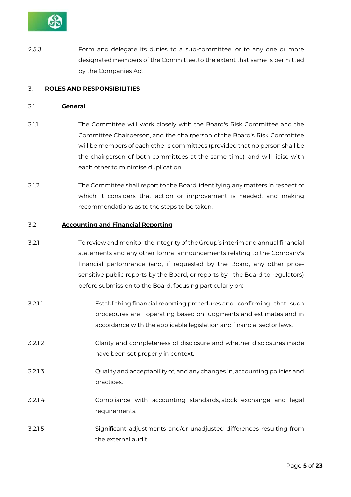

2.5.3 Form and delegate its duties to a sub-committee, or to any one or more designated members of the Committee, to the extent that same is permitted by the Companies Act.

# 3. **ROLES AND RESPONSIBILITIES**

#### 3.1 **General**

- 3.1.1 The Committee will work closely with the Board's Risk Committee and the Committee Chairperson, and the chairperson of the Board's Risk Committee will be members of each other's committees (provided that no person shall be the chairperson of both committees at the same time), and will liaise with each other to minimise duplication.
- 3.1.2 The Committee shall report to the Board, identifying any matters in respect of which it considers that action or improvement is needed, and making recommendations as to the steps to be taken.

# 3.2 **Accounting and Financial Reporting**

- 3.2.1 To review and monitor the integrity of the Group's interim and annual financial statements and any other formal announcements relating to the Company's financial performance (and, if requested by the Board, any other pricesensitive public reports by the Board, or reports by the Board to regulators) before submission to the Board, focusing particularly on:
- 3.2.1.1 Establishing financial reporting procedures and confirming that such procedures are operating based on judgments and estimates and in accordance with the applicable legislation and financial sector laws.
- 3.2.1.2 Clarity and completeness of disclosure and whether disclosures made have been set properly in context.
- 3.2.1.3 Quality and acceptability of, and any changes in, accounting policies and practices.
- 3.2.1.4 Compliance with accounting standards, stock exchange and legal requirements.
- 3.2.1.5 Significant adjustments and/or unadjusted differences resulting from the external audit.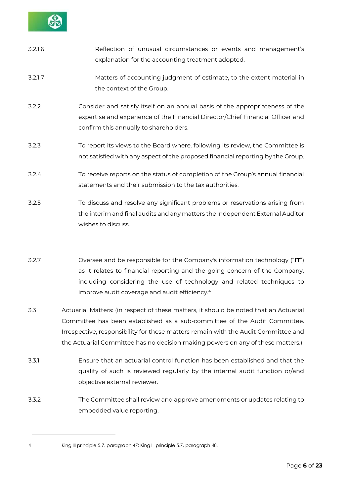

| 3.2.1.6 | Reflection of unusual circumstances or events and management's<br>explanation for the accounting treatment adopted.                                                                                      |
|---------|----------------------------------------------------------------------------------------------------------------------------------------------------------------------------------------------------------|
| 3.2.1.7 | Matters of accounting judgment of estimate, to the extent material in<br>the context of the Group.                                                                                                       |
| 3.2.2   | Consider and satisfy itself on an annual basis of the appropriateness of the<br>expertise and experience of the Financial Director/Chief Financial Officer and<br>confirm this annually to shareholders. |
| 3.2.3   | To report its views to the Board where, following its review, the Committee is<br>not satisfied with any aspect of the proposed financial reporting by the Group.                                        |
| 3.2.4   | To receive reports on the status of completion of the Group's annual financial<br>statements and their submission to the tax authorities.                                                                |
| 3.2.5   | To discuss and resolve any significant problems or reservations arising from<br>the interim and final audits and any matters the Independent External Auditor                                            |

3.2.7 Oversee and be responsible for the Company's information technology ("**IT**") as it relates to financial reporting and the going concern of the Company, including considering the use of technology and related techniques to improve audit coverage and audit efficiency.<sup>4</sup>

wishes to discuss.

- 3.3 Actuarial Matters: (in respect of these matters, it should be noted that an Actuarial Committee has been established as a sub-committee of the Audit Committee. Irrespective, responsibility for these matters remain with the Audit Committee and the Actuarial Committee has no decision making powers on any of these matters.)
- 3.3.1 Ensure that an actuarial control function has been established and that the quality of such is reviewed regularly by the internal audit function or/and objective external reviewer.
- 3.3.2 The Committee shall review and approve amendments or updates relating to embedded value reporting.

<sup>4</sup> King III principle 5.7, paragraph 47; King III principle 5.7, paragraph 48.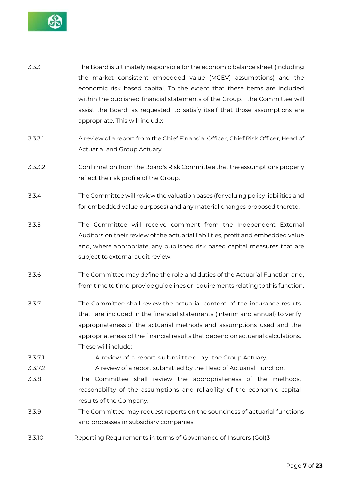

- 3.3.3 The Board is ultimately responsible for the economic balance sheet (including the market consistent embedded value (MCEV) assumptions) and the economic risk based capital. To the extent that these items are included within the published financial statements of the Group, the Committee will assist the Board, as requested, to satisfy itself that those assumptions are appropriate. This will include:
- 3.3.3.1 A review of a report from the Chief Financial Officer, Chief Risk Officer, Head of Actuarial and Group Actuary.
- 3.3.3.2 Confirmation from the Board's Risk Committee that the assumptions properly reflect the risk profile of the Group.
- 3.3.4 The Committee will review the valuation bases (for valuing policy liabilities and for embedded value purposes) and any material changes proposed thereto.
- 3.3.5 The Committee will receive comment from the Independent External Auditors on their review of the actuarial liabilities, profit and embedded value and, where appropriate, any published risk based capital measures that are subject to external audit review.
- 3.3.6 The Committee may define the role and duties of the Actuarial Function and, from time to time, provide guidelines or requirements relating to this function.
- 3.3.7 The Committee shall review the actuarial content of the insurance results that are included in the financial statements (interim and annual) to verify appropriateness of the actuarial methods and assumptions used and the appropriateness of the financial results that depend on actuarial calculations. These will include:
- 3.3.7.1 A review of a report submitted by the Group Actuary.
- 3.3.7.2 A review of a report submitted by the Head of Actuarial Function.
- 3.3.8 The Committee shall review the appropriateness of the methods, reasonability of the assumptions and reliability of the economic capital results of the Company.
- 3.3.9 The Committee may request reports on the soundness of actuarial functions and processes in subsidiary companies.
- 3.3.10 Reporting Requirements in terms of Governance of Insurers (GoI)3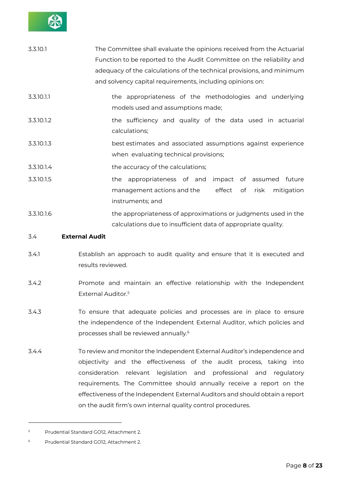

| 3.3.10.1   | The Committee shall evaluate the opinions received from the Actuarial |
|------------|-----------------------------------------------------------------------|
|            | Function to be reported to the Audit Committee on the reliability and |
|            | adequacy of the calculations of the technical provisions, and minimum |
|            | and solvency capital requirements, including opinions on:             |
| 3.3.10.1.1 | the appropriateness of the methodologies and underlying               |
|            | models used and assumptions made;                                     |
| 3.3.10.1.2 | the sufficiency and quality of the data used in actuarial             |
|            | calculations;                                                         |
| 3.3.10.1.3 | best estimates and associated assumptions against experience          |
|            | when evaluating technical provisions;                                 |
| 3.3.10.1.4 | the accuracy of the calculations;                                     |
| 3.3.10.1.5 | the appropriateness of and impact of assumed future                   |
|            | management actions and the<br>effect<br>mitigation<br>of<br>risk      |
|            | instruments; and                                                      |
| 3.3.10.1.6 | the appropriateness of approximations or judgments used in the        |
|            | calculations due to insufficient data of appropriate quality.         |

# 3.4 **External Audit**

- 3.4.1 Establish an approach to audit quality and ensure that it is executed and results reviewed.
- 3.4.2 Promote and maintain an effective relationship with the Independent External Auditor.<sup>5</sup>
- 3.4.3 To ensure that adequate policies and processes are in place to ensure the independence of the Independent External Auditor, which policies and processes shall be reviewed annually.<sup>6</sup>
- 3.4.4 To review and monitor the Independent External Auditor's independence and objectivity and the effectiveness of the audit process, taking into consideration relevant legislation and professional and regulatory requirements. The Committee should annually receive a report on the effectiveness of the Independent External Auditors and should obtain a report on the audit firm's own internal quality control procedures.

<sup>5</sup> Prudential Standard GO12, Attachment 2.

<sup>6</sup> Prudential Standard GO12, Attachment 2.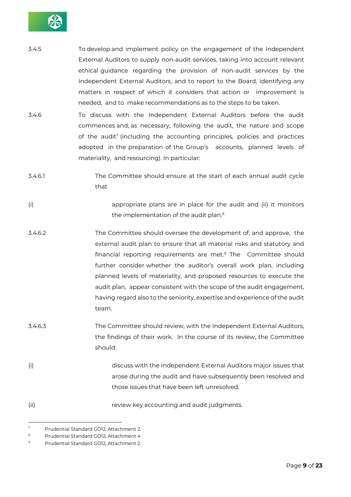

- 3.4.5 To develop and implement policy on the engagement of the Independent External Auditors to supply non-audit services, taking into account relevant ethical guidance regarding the provision of non-audit services by the Independent External Auditors, and to report to the Board, identifying any matters in respect of which it considers that action or improvement is needed, and to make recommendations as to the steps to be taken.
- 3.4.6 To discuss with the Independent External Auditors before the audit commences and, as necessary, following the audit, the nature and scope of the audit<sup>7</sup> (including the accounting principles, policies and practices adopted in the preparation of the Group's accounts, planned levels of materiality, and resourcing). In particular:
- 3.4.6.1 The Committee should ensure at the start of each annual audit cycle that
- (i) appropriate plans are in place for the audit and (ii) it monitors the implementation of the audit plan.<sup>8</sup>
- 3.4.6.2 The Committee should oversee the development of, and approve, the external audit plan to ensure that all material risks and statutory and financial reporting requirements are met.<sup>9</sup> The Committee should further consider whether the auditor's overall work plan, including planned levels of materiality, and proposed resources to execute the audit plan, appear consistent with the scope of the audit engagement, having regard also to the seniority, expertise and experience of the audit team.
- 3.4.6.3 The Committee should review, with the Independent External Auditors, the findings of their work. In the course of its review, the Committee should:
- (i) discuss with the Independent External Auditors major issues that arose during the audit and have subsequently been resolved and those issues that have been left unresolved.
- (ii) review key accounting and audit judgments.

<sup>7</sup> Prudential Standard GO12, Attachment 2.

<sup>8</sup> Prudential Standard GO12, Attachment 4

<sup>9</sup> Prudential Standard GO12, Attachment 2.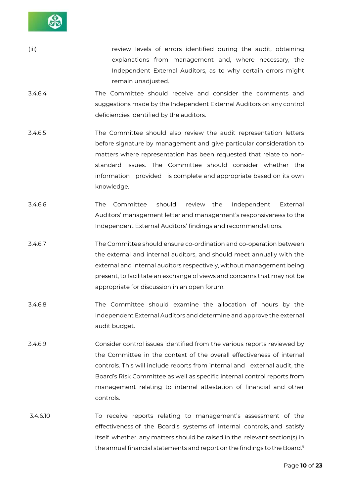

- (iii) **review levels of errors identified during the audit, obtaining** explanations from management and, where necessary, the Independent External Auditors, as to why certain errors might remain unadjusted.
- 3.4.6.4 The Committee should receive and consider the comments and suggestions made by the Independent External Auditors on any control deficiencies identified by the auditors.
- 3.4.6.5 The Committee should also review the audit representation letters before signature by management and give particular consideration to matters where representation has been requested that relate to nonstandard issues. The Committee should consider whether the information provided is complete and appropriate based on its own knowledge.
- 3.4.6.6 The Committee should review the Independent External Auditors' management letter and management's responsiveness to the Independent External Auditors' findings and recommendations.
- 3.4.6.7 The Committee should ensure co-ordination and co-operation between the external and internal auditors, and should meet annually with the external and internal auditors respectively, without management being present, to facilitate an exchange of views and concerns that may not be appropriate for discussion in an open forum.
- 3.4.6.8 The Committee should examine the allocation of hours by the Independent External Auditors and determine and approve the external audit budget.
- 3.4.6.9 Consider control issues identified from the various reports reviewed by the Committee in the context of the overall effectiveness of internal controls. This will include reports from internal and external audit, the Board's Risk Committee as well as specific internal control reports from management relating to internal attestation of financial and other controls.
- 3.4.6.10 To receive reports relating to management's assessment of the effectiveness of the Board's systems of internal controls, and satisfy itself whether any matters should be raised in the relevant section(s) in the annual financial statements and report on the findings to the Board.<sup>9</sup>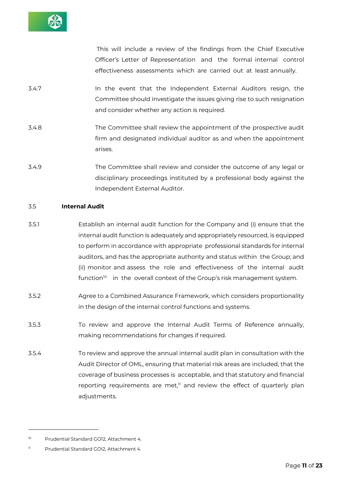

This will include a review of the findings from the Chief Executive Officer's Letter of Representation and the formal internal control effectiveness assessments which are carried out at least annually.

- 3.4.7 In the event that the Independent External Auditors resign, the Committee should investigate the issues giving rise to such resignation and consider whether any action is required.
- 3.4.8 The Committee shall review the appointment of the prospective audit firm and designated individual auditor as and when the appointment arises.
- 3.4.9 The Committee shall review and consider the outcome of any legal or disciplinary proceedings instituted by a professional body against the Independent External Auditor.

# 3.5 **Internal Audit**

- 3.5.1 Establish an internal audit function for the Company and (i) ensure that the internal audit function is adequately and appropriately resourced, is equipped to perform in accordance with appropriate professional standards for internal auditors, and has the appropriate authority and status within the Group; and (ii) monitor and assess the role and effectiveness of the internal audit function $^{\text{10}}$   $\,$  in the overall context of the Group's risk management system.
- 3.5.2 Agree to a Combined Assurance Framework, which considers proportionality in the design of the internal control functions and systems.
- 3.5.3 To review and approve the Internal Audit Terms of Reference annually, making recommendations for changes if required.
- 3.5.4 To review and approve the annual internal audit plan in consultation with the Audit Director of OML, ensuring that material risk areas are included, that the coverage of business processes is acceptable, and that statutory and financial reporting requirements are met, $\overline{1}$  and review the effect of quarterly plan adjustments.

<sup>10</sup> Prudential Standard GO12, Attachment 4.

<sup>11</sup> Prudential Standard GOI2, Attachment 4.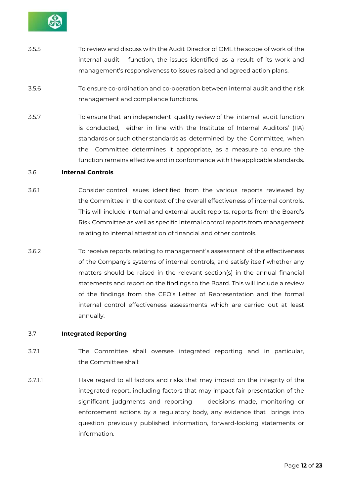

- 3.5.5 To review and discuss with the Audit Director of OML the scope of work of the internal audit function, the issues identified as a result of its work and management's responsiveness to issues raised and agreed action plans.
- 3.5.6 To ensure co-ordination and co-operation between internal audit and the risk management and compliance functions.
- 3.5.7 To ensure that an independent quality review of the internal audit function is conducted, either in line with the Institute of Internal Auditors' (IIA) standards or such other standards as determined by the Committee, when the Committee determines it appropriate, as a measure to ensure the function remains effective and in conformance with the applicable standards.

# 3.6 **Internal Controls**

- 3.6.1 Consider control issues identified from the various reports reviewed by the Committee in the context of the overall effectiveness of internal controls. This will include internal and external audit reports, reports from the Board's Risk Committee as well as specific internal control reports from management relating to internal attestation of financial and other controls.
- 3.6.2 To receive reports relating to management's assessment of the effectiveness of the Company's systems of internal controls, and satisfy itself whether any matters should be raised in the relevant section(s) in the annual financial statements and report on the findings to the Board. This will include a review of the findings from the CEO's Letter of Representation and the formal internal control effectiveness assessments which are carried out at least annually.

# 3.7 **Integrated Reporting**

- 3.7.1 The Committee shall oversee integrated reporting and in particular, the Committee shall:
- 3.7.1.1 Have regard to all factors and risks that may impact on the integrity of the integrated report, including factors that may impact fair presentation of the significant judgments and reporting decisions made, monitoring or enforcement actions by a regulatory body, any evidence that brings into question previously published information, forward-looking statements or information.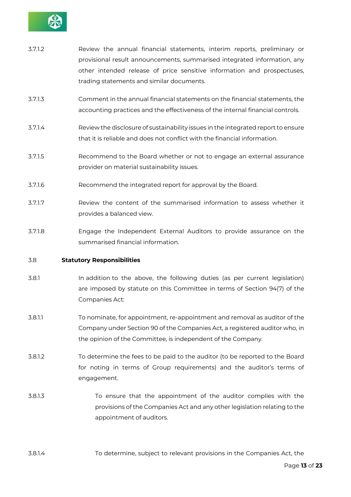

| 3.7.1.2 | Review the annual financial statements, interim reports, preliminary or<br>provisional result announcements, summarised integrated information, any<br>other intended release of price sensitive information and prospectuses,<br>trading statements and similar documents. |
|---------|-----------------------------------------------------------------------------------------------------------------------------------------------------------------------------------------------------------------------------------------------------------------------------|
| 3.7.1.3 | Comment in the annual financial statements on the financial statements, the<br>accounting practices and the effectiveness of the internal financial controls.                                                                                                               |
| 3.7.1.4 | Review the disclosure of sustainability issues in the integrated report to ensure<br>that it is reliable and does not conflict with the financial information.                                                                                                              |
| 3.7.1.5 | Recommend to the Board whether or not to engage an external assurance                                                                                                                                                                                                       |

3.7.1.6 Recommend the integrated report for approval by the Board.

provider on material sustainability issues.

- 3.7.1.7 Review the content of the summarised information to assess whether it provides a balanced view.
- 3.7.1.8 Engage the Independent External Auditors to provide assurance on the summarised financial information.

# 3.8 **Statutory Responsibilities**

- 3.8.1 In addition to the above, the following duties (as per current legislation) are imposed by statute on this Committee in terms of Section 94(7) of the Companies Act:
- 3.8.1.1 To nominate, for appointment, re-appointment and removal as auditor of the Company under Section 90 of the Companies Act, a registered auditor who, in the opinion of the Committee, is independent of the Company.
- 3.8.1.2 To determine the fees to be paid to the auditor (to be reported to the Board for noting in terms of Group requirements) and the auditor's terms of engagement.
- 3.8.1.3 To ensure that the appointment of the auditor complies with the provisions of the Companies Act and any other legislation relating to the appointment of auditors.
- 3.8.1.4 To determine, subject to relevant provisions in the Companies Act, the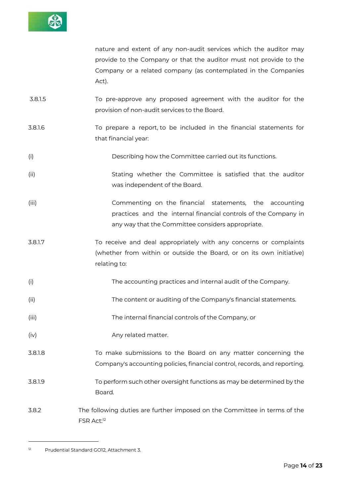

nature and extent of any non-audit services which the auditor may provide to the Company or that the auditor must not provide to the Company or a related company (as contemplated in the Companies Act).

- 3.8.1.5 To pre-approve any proposed agreement with the auditor for the provision of non-audit services to the Board.
- 3.8.1.6 To prepare a report, to be included in the financial statements for that financial year:
- (i) Describing how the Committee carried out its functions.
- (ii) Stating whether the Committee is satisfied that the auditor was independent of the Board.
- (iii) Commenting on the financial statements, the accounting practices and the internal financial controls of the Company in any way that the Committee considers appropriate.
- 3.8.1.7 To receive and deal appropriately with any concerns or complaints (whether from within or outside the Board, or on its own initiative) relating to:
- (i) The accounting practices and internal audit of the Company.
- (ii) The content or auditing of the Company's financial statements.
- (iii) The internal financial controls of the Company, or
- (iv) any related matter.
- 3.8.1.8 To make submissions to the Board on any matter concerning the Company's accounting policies, financial control, records, and reporting.
- 3.8.1.9 To perform such other oversight functions as may be determined by the Board.
- 3.8.2 The following duties are further imposed on the Committee in terms of the FSR Act:<sup>12</sup>

<sup>12</sup> Prudential Standard GO12, Attachment 3.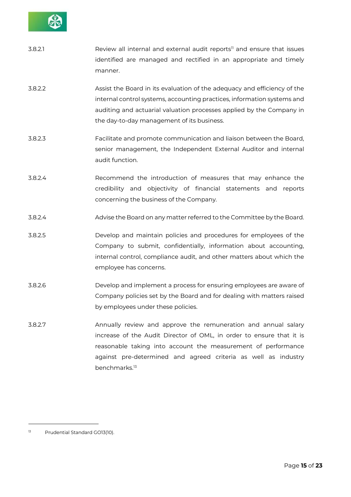

| 3.8.2.1 | Review all internal and external audit reports <sup>11</sup> and ensure that issues<br>identified are managed and rectified in an appropriate and timely<br>manner.                                                                                                       |
|---------|---------------------------------------------------------------------------------------------------------------------------------------------------------------------------------------------------------------------------------------------------------------------------|
| 3.8.2.2 | Assist the Board in its evaluation of the adequacy and efficiency of the<br>internal control systems, accounting practices, information systems and<br>auditing and actuarial valuation processes applied by the Company in<br>the day-to-day management of its business. |
| 3.8.2.3 | Facilitate and promote communication and liaison between the Board,<br>senior management, the Independent External Auditor and internal<br>audit function.                                                                                                                |
| 3.8.2.4 | Recommend the introduction of measures that may enhance the<br>credibility and objectivity of financial statements and reports<br>concerning the business of the Company.                                                                                                 |
| 3.8.2.4 | Advise the Board on any matter referred to the Committee by the Board.                                                                                                                                                                                                    |
| 3.8.2.5 | Develop and maintain policies and procedures for employees of the<br>Company to submit, confidentially, information about accounting,<br>internal control, compliance audit, and other matters about which the<br>employee has concerns.                                  |
| 3.8.2.6 | Develop and implement a process for ensuring employees are aware of<br>Company policies set by the Board and for dealing with matters raised<br>by employees under these policies.                                                                                        |
| 3.8.2.7 | Annually review and approve the remuneration and annual salary<br>increase of the Audit Director of OML, in order to ensure that it is<br>reasonable taking into account the measurement of performance<br>against pre-determined and agreed criteria as well as industry |

benchmarks.<sup>13</sup>

<sup>13</sup> Prudential Standard GO13(10).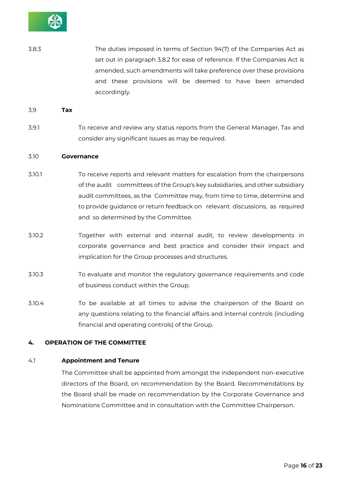

3.8.3 The duties imposed in terms of Section 94(7) of the Companies Act as set out in paragraph 3.8.2 for ease of reference. If the Companies Act is amended, such amendments will take preference over these provisions and these provisions will be deemed to have been amended accordingly.

#### 3.9 **Tax**

3.9.1 To receive and review any status reports from the General Manager, Tax and consider any significant issues as may be required.

#### 3.10 **Governance**

- 3.10.1 To receive reports and relevant matters for escalation from the chairpersons of the audit committees of the Group's key subsidiaries, and other subsidiary audit committees, as the Committee may, from time to time, determine and to provide guidance or return feedback on relevant discussions, as required and so determined by the Committee.
- 3.10.2 Together with external and internal audit, to review developments in corporate governance and best practice and consider their impact and implication for the Group processes and structures.
- 3.10.3 To evaluate and monitor the regulatory governance requirements and code of business conduct within the Group.
- 3.10.4 To be available at all times to advise the chairperson of the Board on any questions relating to the financial affairs and internal controls (including financial and operating controls) of the Group.

#### **4. OPERATION OF THE COMMITTEE**

#### 4.1 **Appointment and Tenure**

The Committee shall be appointed from amongst the independent non-executive directors of the Board, on recommendation by the Board. Recommendations by the Board shall be made on recommendation by the Corporate Governance and Nominations Committee and in consultation with the Committee Chairperson.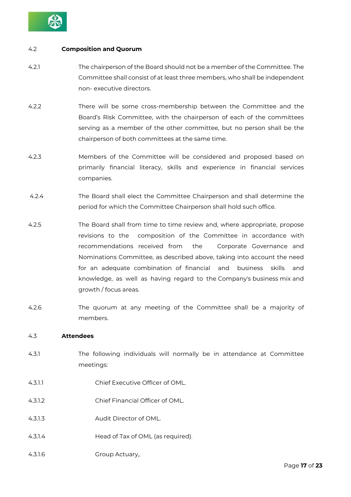

# 4.2 **Composition and Quorum**

- 4.2.1 The chairperson of the Board should not be a member of the Committee. The Committee shall consist of at least three members, who shall be independent non- executive directors.
- 4.2.2 There will be some cross-membership between the Committee and the Board's Risk Committee, with the chairperson of each of the committees serving as a member of the other committee, but no person shall be the chairperson of both committees at the same time.
- 4.2.3 Members of the Committee will be considered and proposed based on primarily financial literacy, skills and experience in financial services companies.
- 4.2.4 The Board shall elect the Committee Chairperson and shall determine the period for which the Committee Chairperson shall hold such office.
- 4.2.5 The Board shall from time to time review and, where appropriate, propose revisions to the composition of the Committee in accordance with recommendations received from the Corporate Governance and Nominations Committee, as described above, taking into account the need for an adequate combination of financial and business skills and knowledge, as well as having regard to the Company's business mix and growth / focus areas.
- 4.2.6 The quorum at any meeting of the Committee shall be a majority of members.

# 4.3 **Attendees**

- 4.3.1 The following individuals will normally be in attendance at Committee meetings:
- 4.3.1.1 Chief Executive Officer of OML.
- 4.3.1.2 Chief Financial Officer of OML.
- 4.3.1.3 Audit Director of OML.
- 4.3.1.4 Head of Tax of OML (as required).
- 4.3.1.6 Group Actuary,.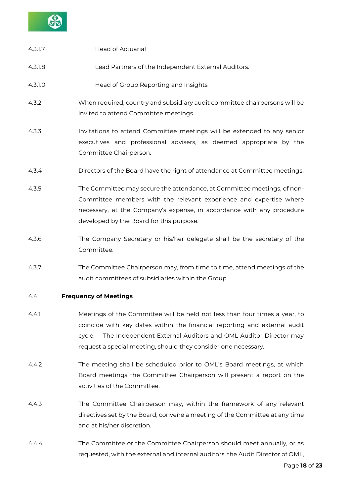

| 4.3.1.7 | <b>Head of Actuarial</b>                                                                                                                                                                                                                                                                              |
|---------|-------------------------------------------------------------------------------------------------------------------------------------------------------------------------------------------------------------------------------------------------------------------------------------------------------|
| 4.3.1.8 | Lead Partners of the Independent External Auditors.                                                                                                                                                                                                                                                   |
| 4.3.1.0 | Head of Group Reporting and Insights                                                                                                                                                                                                                                                                  |
| 4.3.2   | When required, country and subsidiary audit committee chairpersons will be<br>invited to attend Committee meetings.                                                                                                                                                                                   |
| 4.3.3   | Invitations to attend Committee meetings will be extended to any senior<br>executives and professional advisers, as deemed appropriate by the<br>Committee Chairperson.                                                                                                                               |
| 4.3.4   | Directors of the Board have the right of attendance at Committee meetings.                                                                                                                                                                                                                            |
| 4.3.5   | The Committee may secure the attendance, at Committee meetings, of non-<br>Committee members with the relevant experience and expertise where<br>necessary, at the Company's expense, in accordance with any procedure<br>developed by the Board for this purpose.                                    |
| 4.3.6   | The Company Secretary or his/her delegate shall be the secretary of the<br>Committee.                                                                                                                                                                                                                 |
| 4.3.7   | The Committee Chairperson may, from time to time, attend meetings of the<br>audit committees of subsidiaries within the Group.                                                                                                                                                                        |
| 4.4     | <b>Frequency of Meetings</b>                                                                                                                                                                                                                                                                          |
| 4.4.1   | Meetings of the Committee will be held not less than four times a year, to<br>coincide with key dates within the financial reporting and external audit<br>The Independent External Auditors and OML Auditor Director may<br>cycle.<br>request a special meeting, should they consider one necessary. |

- 4.4.2 The meeting shall be scheduled prior to OML's Board meetings, at which Board meetings the Committee Chairperson will present a report on the activities of the Committee.
- 4.4.3 The Committee Chairperson may, within the framework of any relevant directives set by the Board, convene a meeting of the Committee at any time and at his/her discretion.
- 4.4.4 The Committee or the Committee Chairperson should meet annually, or as requested, with the external and internal auditors, the Audit Director of OML,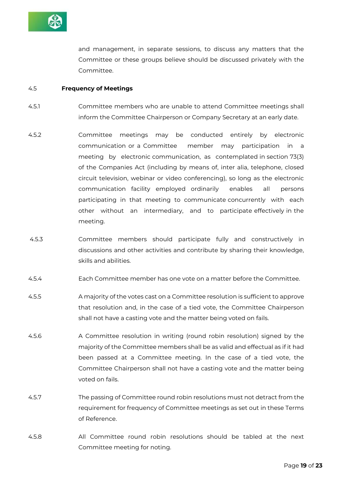

and management, in separate sessions, to discuss any matters that the Committee or these groups believe should be discussed privately with the Committee.

#### 4.5 **Frequency of Meetings**

- 4.5.1 Committee members who are unable to attend Committee meetings shall inform the Committee Chairperson or Company Secretary at an early date.
- 4.5.2 Committee meetings may be conducted entirely by electronic communication or a Committee member may participation in a meeting by electronic communication, as contemplated in section 73(3) of the Companies Act (including by means of, inter alia, telephone, closed circuit television, webinar or video conferencing), so long as the electronic communication facility employed ordinarily enables all persons participating in that meeting to communicate concurrently with each other without an intermediary, and to participate effectively in the meeting.
- 4.5.3 Committee members should participate fully and constructively in discussions and other activities and contribute by sharing their knowledge, skills and abilities.
- 4.5.4 Each Committee member has one vote on a matter before the Committee.
- 4.5.5 A majority of the votes cast on a Committee resolution is sufficient to approve that resolution and, in the case of a tied vote, the Committee Chairperson shall not have a casting vote and the matter being voted on fails.
- 4.5.6 A Committee resolution in writing (round robin resolution) signed by the majority of the Committee members shall be as valid and effectual as if it had been passed at a Committee meeting. In the case of a tied vote, the Committee Chairperson shall not have a casting vote and the matter being voted on fails.
- 4.5.7 The passing of Committee round robin resolutions must not detract from the requirement for frequency of Committee meetings as set out in these Terms of Reference.
- 4.5.8 All Committee round robin resolutions should be tabled at the next Committee meeting for noting.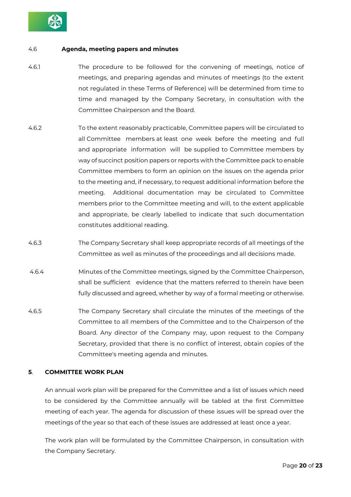

# 4.6 **Agenda, meeting papers and minutes**

- 4.6.1 The procedure to be followed for the convening of meetings, notice of meetings, and preparing agendas and minutes of meetings (to the extent not regulated in these Terms of Reference) will be determined from time to time and managed by the Company Secretary, in consultation with the Committee Chairperson and the Board.
- 4.6.2 To the extent reasonably practicable, Committee papers will be circulated to all Committee members at least one week before the meeting and full and appropriate information will be supplied to Committee members by way of succinct position papers or reports with the Committee pack to enable Committee members to form an opinion on the issues on the agenda prior to the meeting and, if necessary, to request additional information before the meeting. Additional documentation may be circulated to Committee members prior to the Committee meeting and will, to the extent applicable and appropriate, be clearly labelled to indicate that such documentation constitutes additional reading.
- 4.6.3 The Company Secretary shall keep appropriate records of all meetings of the Committee as well as minutes of the proceedings and all decisions made.
- 4.6.4 Minutes of the Committee meetings, signed by the Committee Chairperson, shall be sufficient evidence that the matters referred to therein have been fully discussed and agreed, whether by way of a formal meeting or otherwise.
- 4.6.5 The Company Secretary shall circulate the minutes of the meetings of the Committee to all members of the Committee and to the Chairperson of the Board. Any director of the Company may, upon request to the Company Secretary, provided that there is no conflict of interest, obtain copies of the Committee's meeting agenda and minutes.

# **5**. **COMMITTEE WORK PLAN**

An annual work plan will be prepared for the Committee and a list of issues which need to be considered by the Committee annually will be tabled at the first Committee meeting of each year. The agenda for discussion of these issues will be spread over the meetings of the year so that each of these issues are addressed at least once a year.

The work plan will be formulated by the Committee Chairperson, in consultation with the Company Secretary.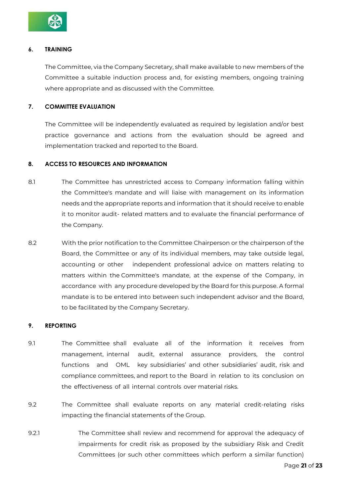

# **6. TRAINING**

The Committee, via the Company Secretary, shall make available to new members of the Committee a suitable induction process and, for existing members, ongoing training where appropriate and as discussed with the Committee.

# **7. COMMITTEE EVALUATION**

The Committee will be independently evaluated as required by legislation and/or best practice governance and actions from the evaluation should be agreed and implementation tracked and reported to the Board.

# **8. ACCESS TO RESOURCES AND INFORMATION**

- 8.1 The Committee has unrestricted access to Company information falling within the Committee's mandate and will liaise with management on its information needs and the appropriate reports and information that it should receive to enable it to monitor audit- related matters and to evaluate the financial performance of the Company.
- 8.2 With the prior notification to the Committee Chairperson or the chairperson of the Board, the Committee or any of its individual members, may take outside legal, accounting or other independent professional advice on matters relating to matters within the Committee's mandate, at the expense of the Company, in accordance with any procedure developed by the Board for this purpose. A formal mandate is to be entered into between such independent advisor and the Board, to be facilitated by the Company Secretary.

# **9. REPORTING**

- 9.1 The Committee shall evaluate all of the information it receives from management, internal audit, external assurance providers, the control functions and OML key subsidiaries' and other subsidiaries' audit, risk and compliance committees, and report to the Board in relation to its conclusion on the effectiveness of all internal controls over material risks.
- 9.2 The Committee shall evaluate reports on any material credit-relating risks impacting the financial statements of the Group.
- 9.2.1 The Committee shall review and recommend for approval the adequacy of impairments for credit risk as proposed by the subsidiary Risk and Credit Committees (or such other committees which perform a similar function)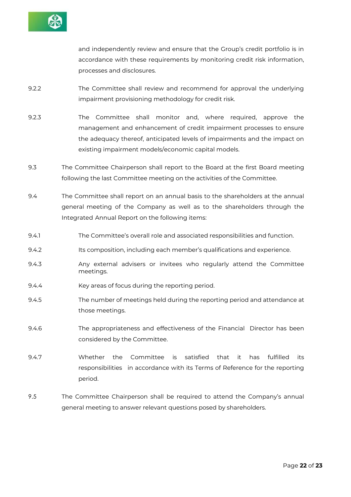

and independently review and ensure that the Group's credit portfolio is in accordance with these requirements by monitoring credit risk information, processes and disclosures.

- 9.2.2 The Committee shall review and recommend for approval the underlying impairment provisioning methodology for credit risk.
- 9.2.3 The Committee shall monitor and, where required, approve the management and enhancement of credit impairment processes to ensure the adequacy thereof, anticipated levels of impairments and the impact on existing impairment models/economic capital models.
- 9.3 The Committee Chairperson shall report to the Board at the first Board meeting following the last Committee meeting on the activities of the Committee.
- 9.4 The Committee shall report on an annual basis to the shareholders at the annual general meeting of the Company as well as to the shareholders through the Integrated Annual Report on the following items:
- 9.4.1 The Committee's overall role and associated responsibilities and function.
- 9.4.2 Its composition, including each member's qualifications and experience.
- 9.4.3 Any external advisers or invitees who regularly attend the Committee meetings.
- 9.4.4 Key areas of focus during the reporting period.
- 9.4.5 The number of meetings held during the reporting period and attendance at those meetings.
- 9.4.6 The appropriateness and effectiveness of the Financial Director has been considered by the Committee.
- 9.4.7 Whether the Committee is satisfied that it has fulfilled its responsibilities in accordance with its Terms of Reference for the reporting period.
- 9.5 The Committee Chairperson shall be required to attend the Company's annual general meeting to answer relevant questions posed by shareholders.